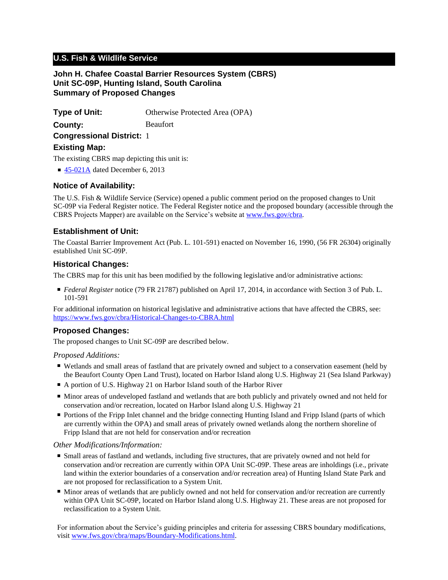# **U.S. Fish & Wildlife Service**

### **John H. Chafee Coastal Barrier Resources System (CBRS) Unit SC-09P, Hunting Island, South Carolina Summary of Proposed Changes**

**Type of Unit:** Otherwise Protected Area (OPA)

**County:** Beaufort

**Congressional District:** 1

### **Existing Map:**

The existing CBRS map depicting this unit is:

■ [45-021A](http://www.fws.gov/cbra/maps/effective/45-021A.pdf) dated December 6, 2013

## **Notice of Availability:**

The U.S. Fish & Wildlife Service (Service) opened a public comment period on the proposed changes to Unit SC-09P via Federal Register notice. The Federal Register notice and the proposed boundary (accessible through the CBRS Projects Mapper) are available on the Service's website at www.fws.gov/cbra.

## **Establishment of Unit:**

The Coastal Barrier Improvement Act (Pub. L. 101-591) enacted on November 16, 1990, (56 FR 26304) originally established Unit SC-09P.

### **Historical Changes:**

The CBRS map for this unit has been modified by the following legislative and/or administrative actions:

■ *Federal Register* notice (79 FR 21787) published on April 17, 2014, in accordance with Section 3 of Pub. L. 101-591

For additional information on historical legislative and administrative actions that have affected the CBRS, see: <https://www.fws.gov/cbra/Historical-Changes-to-CBRA.html>

## **Proposed Changes:**

The proposed changes to Unit SC-09P are described below.

#### *Proposed Additions:*

- Wetlands and small areas of fastland that are privately owned and subject to a conservation easement (held by the Beaufort County Open Land Trust), located on Harbor Island along U.S. Highway 21 (Sea Island Parkway)
- A portion of U.S. Highway 21 on Harbor Island south of the Harbor River
- Minor areas of undeveloped fastland and wetlands that are both publicly and privately owned and not held for conservation and/or recreation, located on Harbor Island along U.S. Highway 21
- Portions of the Fripp Inlet channel and the bridge connecting Hunting Island and Fripp Island (parts of which are currently within the OPA) and small areas of privately owned wetlands along the northern shoreline of Fripp Island that are not held for conservation and/or recreation

#### *Other Modifications/Information:*

- Small areas of fastland and wetlands, including five structures, that are privately owned and not held for conservation and/or recreation are currently within OPA Unit SC-09P. These areas are inholdings (i.e., private land within the exterior boundaries of a conservation and/or recreation area) of Hunting Island State Park and are not proposed for reclassification to a System Unit.
- Minor areas of wetlands that are publicly owned and not held for conservation and/or recreation are currently within OPA Unit SC-09P, located on Harbor Island along U.S. Highway 21. These areas are not proposed for reclassification to a System Unit.

For information about the Service's guiding principles and criteria for assessing CBRS boundary modifications, visit www.fws.gov/cbra/maps/Boundary-Modifications.html.